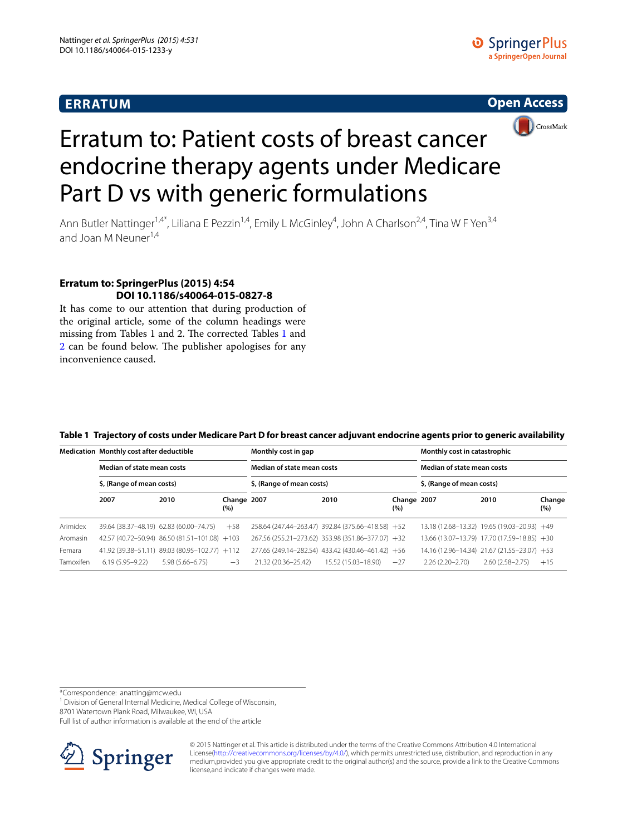# **ERRATUM**





# Erratum to: Patient costs of breast cancer endocrine therapy agents under Medicare Part D vs with generic formulations

Ann Butler Nattinger<sup>1,4\*</sup>, Liliana E Pezzin<sup>1,4</sup>, Emily L McGinley<sup>4</sup>, John A Charlson<sup>2,4</sup>, Tina W F Yen<sup>3,4</sup> and Joan M Neuner<sup>1,4</sup>

## **Erratum to: SpringerPlus (2015) 4:54 DOI 10.1186/s40064‑015‑0827‑8**

It has come to our attention that during production of the original article, some of the column headings were missing from Tables 1 and 2. The corrected Tables [1](#page-0-0) and [2](#page-1-0) can be found below. The publisher apologises for any inconvenience caused.

|           | Medication Monthly cost after deductible<br>Median of state mean costs<br>\$, (Range of mean costs) |                                               |                    | Monthly cost in gap        |                                                   | Monthly cost in catastrophic<br>Median of state mean costs<br>\$, (Range of mean costs) |                     |                                             |               |
|-----------|-----------------------------------------------------------------------------------------------------|-----------------------------------------------|--------------------|----------------------------|---------------------------------------------------|-----------------------------------------------------------------------------------------|---------------------|---------------------------------------------|---------------|
|           |                                                                                                     |                                               |                    | Median of state mean costs |                                                   |                                                                                         |                     |                                             |               |
|           |                                                                                                     |                                               |                    | \$, (Range of mean costs)  |                                                   |                                                                                         |                     |                                             |               |
|           | 2007                                                                                                | 2010                                          | Change 2007<br>(%) |                            | 2010                                              | Change 2007<br>(%)                                                                      |                     | 2010                                        | Change<br>(%) |
| Arimidex  |                                                                                                     | 39.64 (38.37-48.19) 62.83 (60.00-74.75)       | $+58$              |                            | 258.64 (247.44-263.47) 392.84 (375.66-418.58) +52 |                                                                                         |                     | 13.18 (12.68-13.32) 19.65 (19.03-20.93) +49 |               |
| Aromasin  |                                                                                                     | 42.57 (40.72-50.94) 86.50 (81.51-101.08) +103 |                    |                            | 267.56 (255.21-273.62) 353.98 (351.86-377.07) +32 |                                                                                         |                     | 13.66 (13.07-13.79) 17.70 (17.59-18.85) +30 |               |
| Femara    |                                                                                                     | 41.92 (39.38-51.11) 89.03 (80.95-102.77) +112 |                    |                            | 277.65 (249.14-282.54) 433.42 (430.46-461.42) +56 |                                                                                         |                     | 14.16 (12.96-14.34) 21.67 (21.55-23.07) +53 |               |
| Tamoxifen | $6.19(5.95 - 9.22)$                                                                                 | $5.98(5.66 - 6.75)$                           | $-3$               | 21.32 (20.36-25.42)        | 15.52 (15.03-18.90)                               | $-27$                                                                                   | $2.26(2.20 - 2.70)$ | $2.60(2.58 - 2.75)$                         | $+15$         |

#### <span id="page-0-0"></span>**Table 1 Trajectory of costs under Medicare Part D for breast cancer adjuvant endocrine agents prior to generic availability**

\*Correspondence: anatting@mcw.edu

<sup>1</sup> Division of General Internal Medicine, Medical College of Wisconsin,

8701 Watertown Plank Road, Milwaukee, WI, USA

Full list of author information is available at the end of the article



© 2015 Nattinger et al. This article is distributed under the terms of the Creative Commons Attribution 4.0 International License[\(http://creativecommons.org/licenses/by/4.0/\)](http://creativecommons.org/licenses/by/4.0/), which permits unrestricted use, distribution, and reproduction in any medium,provided you give appropriate credit to the original author(s) and the source, provide a link to the Creative Commons license,and indicate if changes were made.